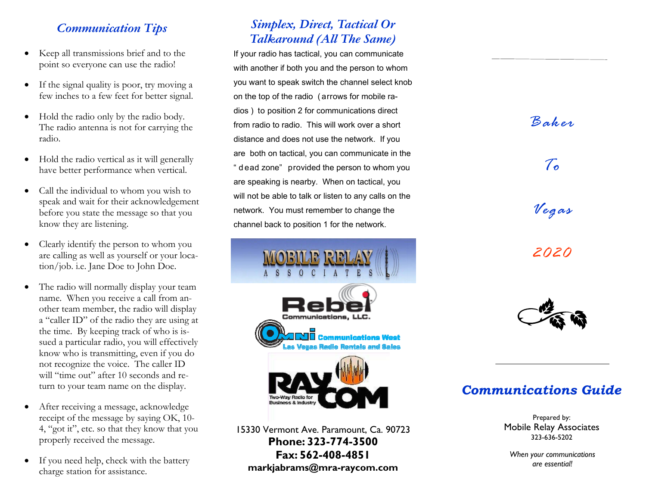# *Communication Tips*

- Keep all transmissions brief and to the point so everyone can use the radio!
- If the signal quality is poor, try moving a few inches to a few feet for better signal.
- $\bullet$  Hold the radio only by the radio body. The radio antenna is not for carrying the radio.
- $\bullet$  Hold the radio vertical as it will generally have better performance when vertical.
- Call the individual to whom you wish to speak and wait for their acknowledgement before you state the message so that you know they are listening.
- $\bullet$  Clearly identify the person to whom you are calling as well as yourself or your location/job. i.e. Jane Doe to John Doe.
- $\bullet$  The radio will normally display your team name. When you receive a call from another team member, the radio will display <sup>a</sup>"caller ID" of the radio they are using at the time. By keeping track of who is issued a particular radio, you will effectively know who is transmitting, even if you do not recognize the voice. The caller ID will "time out" after 10 seconds and return to your team name on the display.
- $\bullet$  After receiving a message, acknowledge receipt of the message by saying OK, 10- 4, "got it", etc. so that they know that you properly received the message.
- $\bullet$  If you need help, check with the battery charge station for assistance.

# *Simplex, Direct, Tactical Or Talkaround (All The Same)*

If your radio has tactical, you can communicate with another if both you and the person to whom you want to speak switch the channel select knob on the top of the radio ( arrows for mobile radios ) to position 2 for communications direct from radio to radio. This will work over a short distance and does not use the network. If you are both on tactical, you can communicate in the " d ead zone" provided the person to whom you are speaking is nearby. When on tactical, you will not be able to talk or listen to any calls on the network. You must remember to change the channel back to position 1 for the network.



15330 Vermont Ave. Paramount, Ca. 90723 **Phone: 323-774-3500 Fax: 562-408-4851 markjabrams@mra-raycom.com**



# *Communications Guide*

Prepared by: Mobile Relay Associates 323-636-5202

*When your communications are essential!*